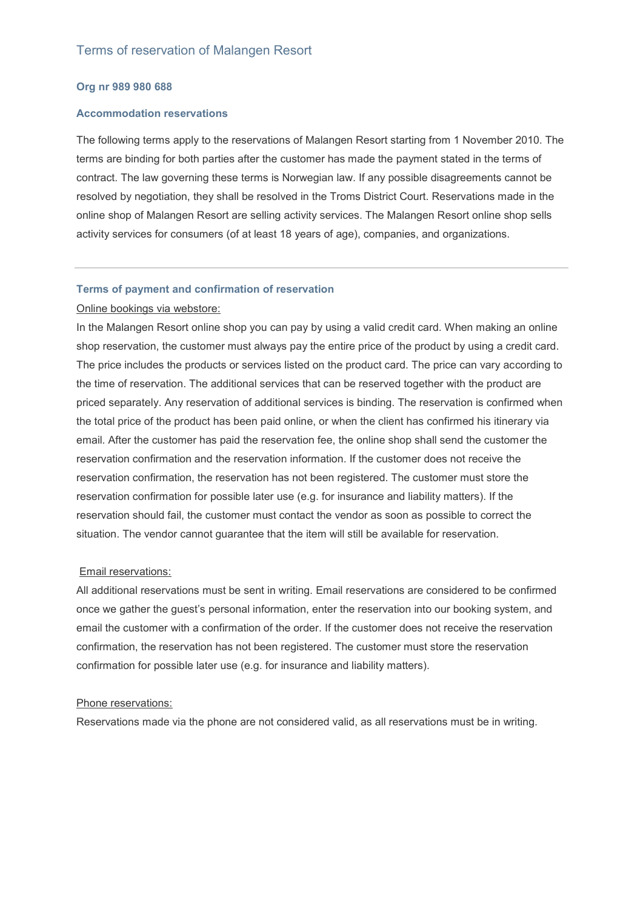# **Org nr 989 980 688**

# **Accommodation reservations**

The following terms apply to the reservations of Malangen Resort starting from 1 November 2010. The terms are binding for both parties after the customer has made the payment stated in the terms of contract. The law governing these terms is Norwegian law. If any possible disagreements cannot be resolved by negotiation, they shall be resolved in the Troms District Court. Reservations made in the online shop of Malangen Resort are selling activity services. The Malangen Resort online shop sells activity services for consumers (of at least 18 years of age), companies, and organizations.

# **Terms of payment and confirmation of reservation**

## Online bookings via webstore:

In the Malangen Resort online shop you can pay by using a valid credit card. When making an online shop reservation, the customer must always pay the entire price of the product by using a credit card. The price includes the products or services listed on the product card. The price can vary according to the time of reservation. The additional services that can be reserved together with the product are priced separately. Any reservation of additional services is binding. The reservation is confirmed when the total price of the product has been paid online, or when the client has confirmed his itinerary via email. After the customer has paid the reservation fee, the online shop shall send the customer the reservation confirmation and the reservation information. If the customer does not receive the reservation confirmation, the reservation has not been registered. The customer must store the reservation confirmation for possible later use (e.g. for insurance and liability matters). If the reservation should fail, the customer must contact the vendor as soon as possible to correct the situation. The vendor cannot guarantee that the item will still be available for reservation.

#### Email reservations:

All additional reservations must be sent in writing. Email reservations are considered to be confirmed once we gather the guest's personal information, enter the reservation into our booking system, and email the customer with a confirmation of the order. If the customer does not receive the reservation confirmation, the reservation has not been registered. The customer must store the reservation confirmation for possible later use (e.g. for insurance and liability matters).

### Phone reservations:

Reservations made via the phone are not considered valid, as all reservations must be in writing.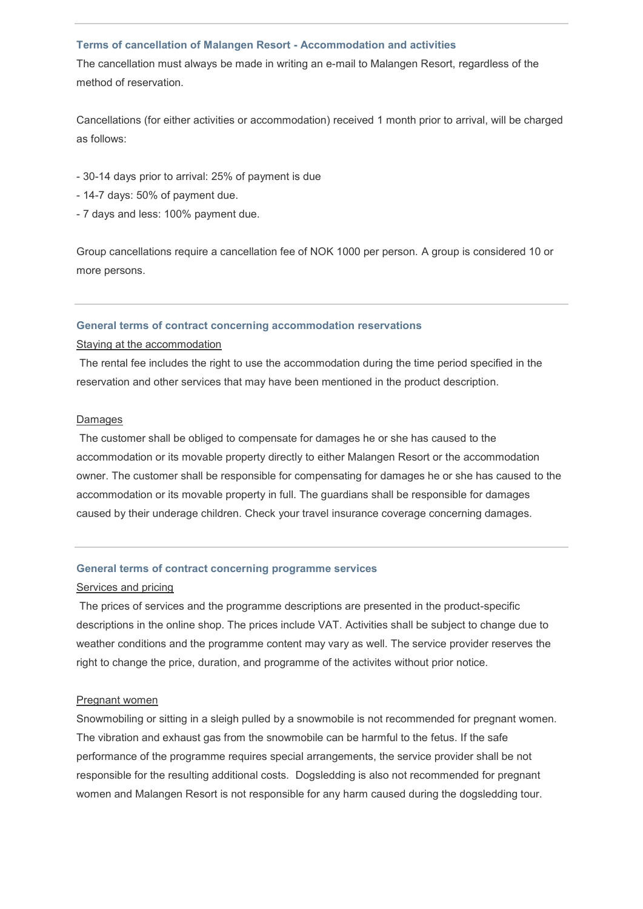#### **Terms of cancellation of Malangen Resort - Accommodation and activities**

The cancellation must always be made in writing an e-mail to Malangen Resort, regardless of the method of reservation.

Cancellations (for either activities or accommodation) received 1 month prior to arrival, will be charged as follows:

- 30-14 days prior to arrival: 25% of payment is due
- 14-7 days: 50% of payment due.
- 7 days and less: 100% payment due.

Group cancellations require a cancellation fee of NOK 1000 per person. A group is considered 10 or more persons.

# **General terms of contract concerning accommodation reservations**

Staying at the accommodation

The rental fee includes the right to use the accommodation during the time period specified in the reservation and other services that may have been mentioned in the product description.

#### Damages

The customer shall be obliged to compensate for damages he or she has caused to the accommodation or its movable property directly to either Malangen Resort or the accommodation owner. The customer shall be responsible for compensating for damages he or she has caused to the accommodation or its movable property in full. The guardians shall be responsible for damages caused by their underage children. Check your travel insurance coverage concerning damages.

### **General terms of contract concerning programme services**

# Services and pricing

The prices of services and the programme descriptions are presented in the product-specific descriptions in the online shop. The prices include VAT. Activities shall be subject to change due to weather conditions and the programme content may vary as well. The service provider reserves the right to change the price, duration, and programme of the activites without prior notice.

#### Pregnant women

Snowmobiling or sitting in a sleigh pulled by a snowmobile is not recommended for pregnant women. The vibration and exhaust gas from the snowmobile can be harmful to the fetus. If the safe performance of the programme requires special arrangements, the service provider shall be not responsible for the resulting additional costs. Dogsledding is also not recommended for pregnant women and Malangen Resort is not responsible for any harm caused during the dogsledding tour.